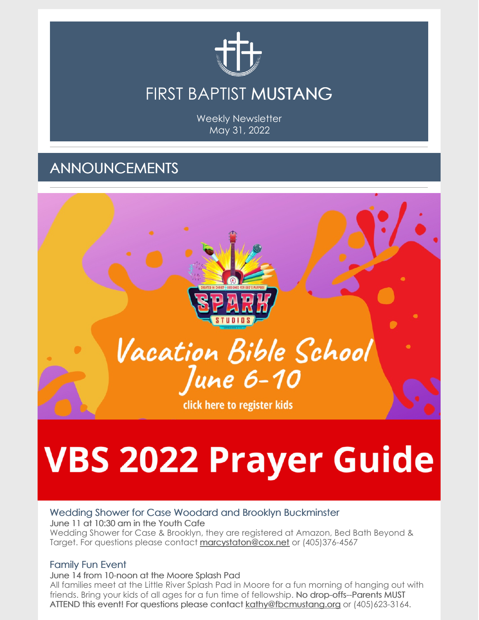

Weekly Newsletter May 31, 2022

## ANNOUNCEMENTS



## **VBS 2022 Prayer Guide**

#### Wedding Shower for Case Woodard and Brooklyn Buckminster June 11 at 10:30 am in the Youth Cafe

Wedding Shower for Case & Brooklyn, they are registered at Amazon, Bed Bath Beyond & Target. For questions please contact [marcystaton@cox.net](mailto:marcystaton@cox.net) or (405)376-4567

## Family Fun Event

June 14 from 10-noon at the Moore Splash Pad

All families meet at the Little River Splash Pad in Moore for a fun morning of hanging out with friends. Bring your kids of all ages for a fun time of fellowship. No drop-offs--Parents MUST ATTEND this event! For questions please contact [kathy@fbcmustang.org](mailto:kathy@fbcmustang.org) or (405)623-3164.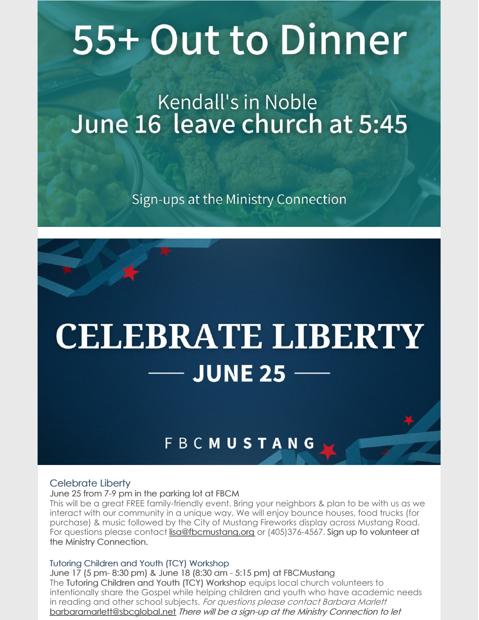# 55+ Out to Dinner

## Kendall's in Noble June 16 leave church at 5:45

Sign-ups at the Ministry Connection

## **CELEBRATE LIBERTY JUNE 25**

## **FBCMUSTANG**

## Celebrate Liberty

#### June 25 from 7-9 pm in the parking lot at FBCM

This will be a great FREE family-friendly event. Bring your neighbors & plan to be with us as we interact with our community in a unique way. We will enjoy bounce houses, food trucks (for purchase) & music followed by the City of Mustang Fireworks display across Mustang Road. For questions please contact [lisa@fbcmustang.org](mailto:lisa@fbcmustang.org) or (405)376-4567. Sign up to volunteer at the Ministry Connection.

### Tutoring Children and Youth (TCY) Workshop

June 17 (5 pm- 8:30 pm) & June 18 (8:30 am - 5:15 pm) at FBCMustang The Tutoring Children and Youth (TCY) Workshop equips local church volunteers to intentionally share the Gospel while helping children and youth who have academic needs in reading and other school subjects. For questions please contact Barbara Marlett [barbaramarlett@sbcglobal.net](mailto:barbaramarlett@sbcglobal.net) There will be <sup>a</sup> sign-up at the Ministry Connection to let